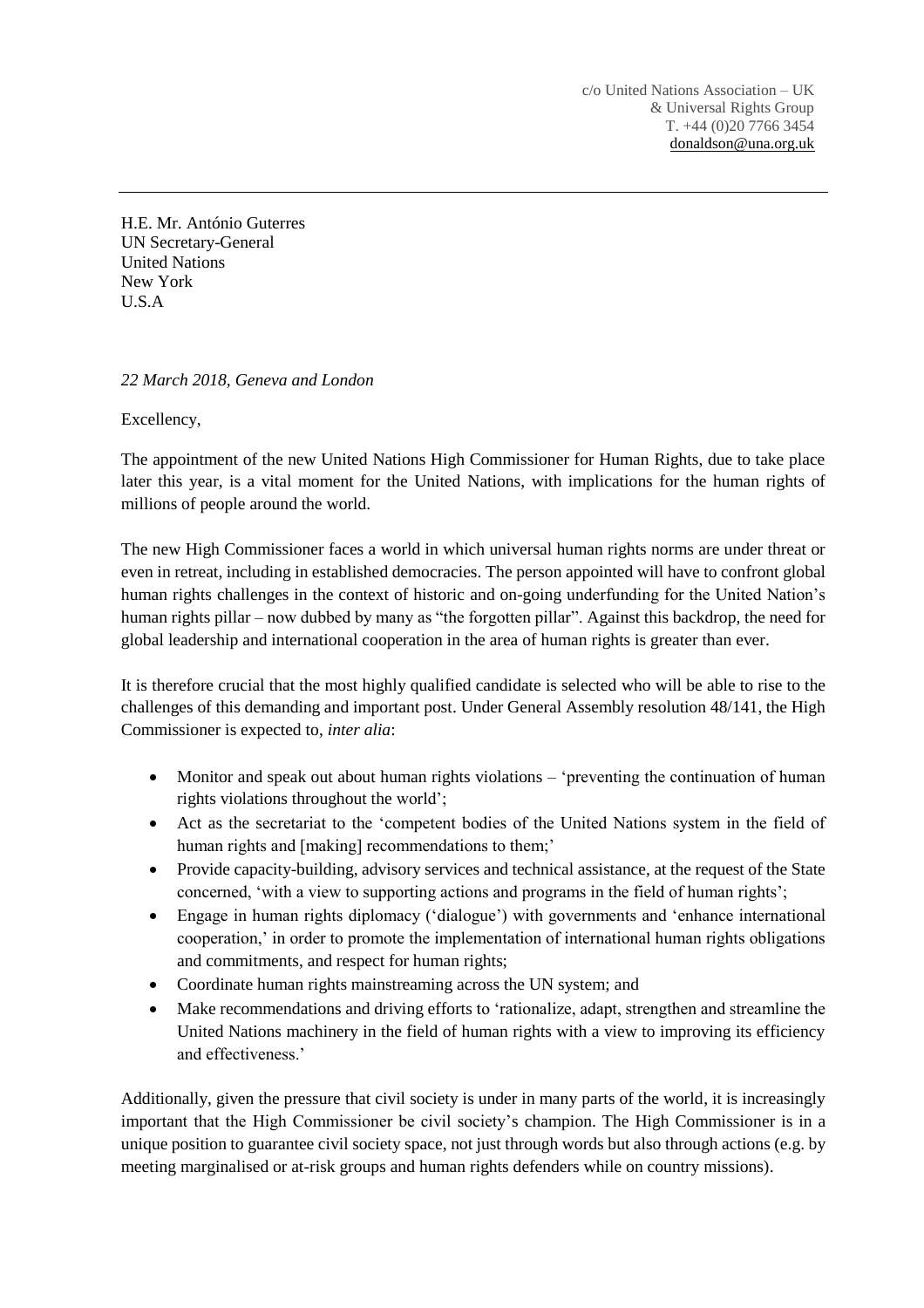c/o United Nations Association – UK & Universal Rights Group T. +44 (0)20 7766 3454 [donaldson@una.org.uk](mailto:donaldson@una.org.uk)

H.E. Mr. António Guterres UN Secretary-General United Nations New York U.S.A

## *22 March 2018, Geneva and London*

Excellency,

The appointment of the new United Nations High Commissioner for Human Rights, due to take place later this year, is a vital moment for the United Nations, with implications for the human rights of millions of people around the world.

The new High Commissioner faces a world in which universal human rights norms are under threat or even in retreat, including in established democracies. The person appointed will have to confront global human rights challenges in the context of historic and on-going underfunding for the United Nation's human rights pillar – now dubbed by many as "the forgotten pillar". Against this backdrop, the need for global leadership and international cooperation in the area of human rights is greater than ever.

It is therefore crucial that the most highly qualified candidate is selected who will be able to rise to the challenges of this demanding and important post. Under General Assembly resolution 48/141, the High Commissioner is expected to, *inter alia*:

- Monitor and speak out about human rights violations 'preventing the continuation of human rights violations throughout the world';
- Act as the secretariat to the 'competent bodies of the United Nations system in the field of human rights and [making] recommendations to them;'
- Provide capacity-building, advisory services and technical assistance, at the request of the State concerned, 'with a view to supporting actions and programs in the field of human rights';
- Engage in human rights diplomacy ('dialogue') with governments and 'enhance international cooperation,' in order to promote the implementation of international human rights obligations and commitments, and respect for human rights;
- Coordinate human rights mainstreaming across the UN system; and
- Make recommendations and driving efforts to 'rationalize, adapt, strengthen and streamline the United Nations machinery in the field of human rights with a view to improving its efficiency and effectiveness.'

Additionally, given the pressure that civil society is under in many parts of the world, it is increasingly important that the High Commissioner be civil society's champion. The High Commissioner is in a unique position to guarantee civil society space, not just through words but also through actions (e.g. by meeting marginalised or at-risk groups and human rights defenders while on country missions).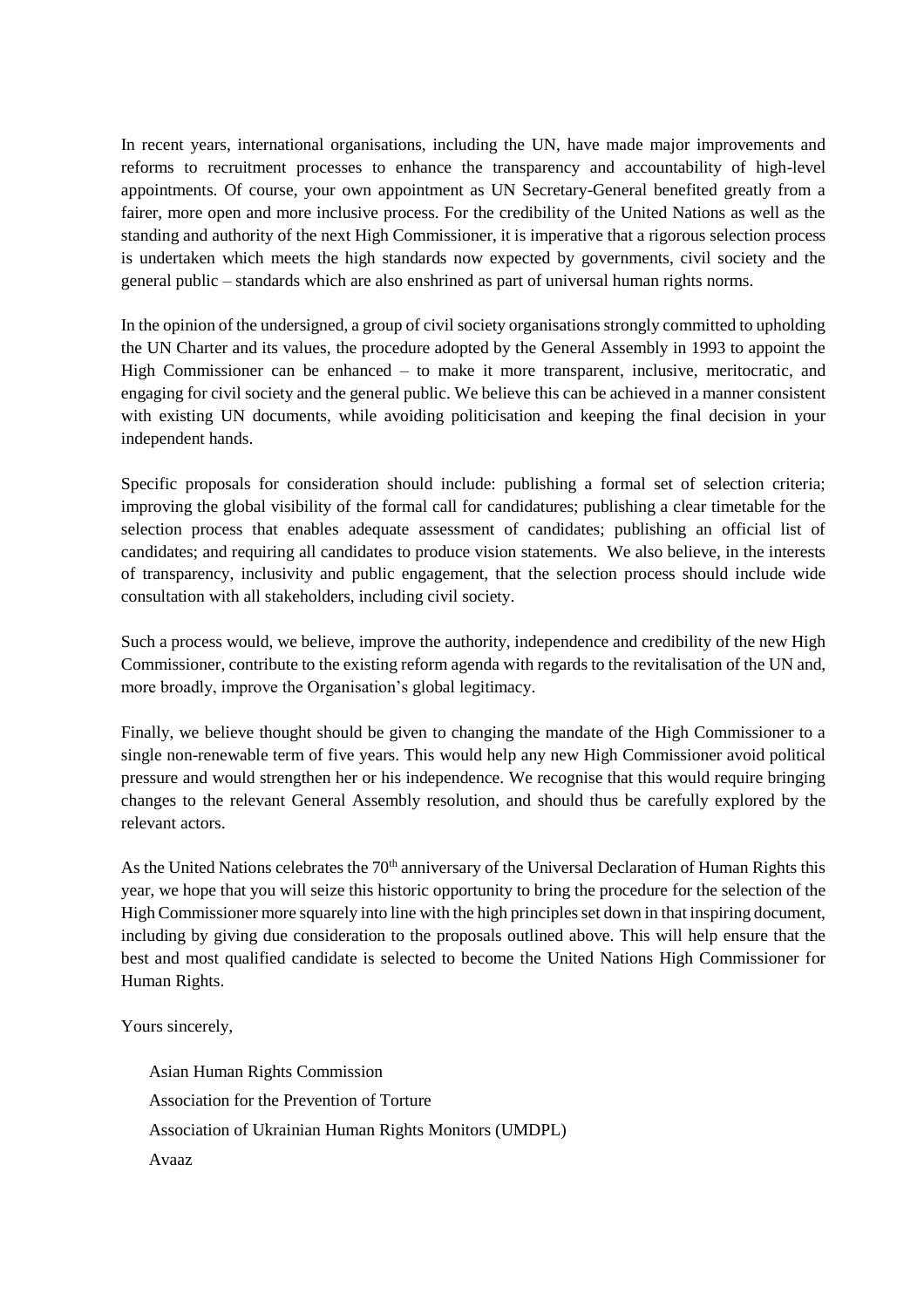In recent years, international organisations, including the UN, have made major improvements and reforms to recruitment processes to enhance the transparency and accountability of high-level appointments. Of course, your own appointment as UN Secretary-General benefited greatly from a fairer, more open and more inclusive process. For the credibility of the United Nations as well as the standing and authority of the next High Commissioner, it is imperative that a rigorous selection process is undertaken which meets the high standards now expected by governments, civil society and the general public – standards which are also enshrined as part of universal human rights norms.

In the opinion of the undersigned, a group of civil society organisations strongly committed to upholding the UN Charter and its values, the procedure adopted by the General Assembly in 1993 to appoint the High Commissioner can be enhanced – to make it more transparent, inclusive, meritocratic, and engaging for civil society and the general public. We believe this can be achieved in a manner consistent with existing UN documents, while avoiding politicisation and keeping the final decision in your independent hands.

Specific proposals for consideration should include: publishing a formal set of selection criteria; improving the global visibility of the formal call for candidatures; publishing a clear timetable for the selection process that enables adequate assessment of candidates; publishing an official list of candidates; and requiring all candidates to produce vision statements. We also believe, in the interests of transparency, inclusivity and public engagement, that the selection process should include wide consultation with all stakeholders, including civil society.

Such a process would, we believe, improve the authority, independence and credibility of the new High Commissioner, contribute to the existing reform agenda with regards to the revitalisation of the UN and, more broadly, improve the Organisation's global legitimacy.

Finally, we believe thought should be given to changing the mandate of the High Commissioner to a single non-renewable term of five years. This would help any new High Commissioner avoid political pressure and would strengthen her or his independence. We recognise that this would require bringing changes to the relevant General Assembly resolution, and should thus be carefully explored by the relevant actors.

As the United Nations celebrates the  $70<sup>th</sup>$  anniversary of the Universal Declaration of Human Rights this year, we hope that you will seize this historic opportunity to bring the procedure for the selection of the High Commissioner more squarely into line with the high principles set down in that inspiring document, including by giving due consideration to the proposals outlined above. This will help ensure that the best and most qualified candidate is selected to become the United Nations High Commissioner for Human Rights.

Yours sincerely,

Asian Human Rights Commission Association for the Prevention of Torture Association of Ukrainian Human Rights Monitors (UMDPL) Avaaz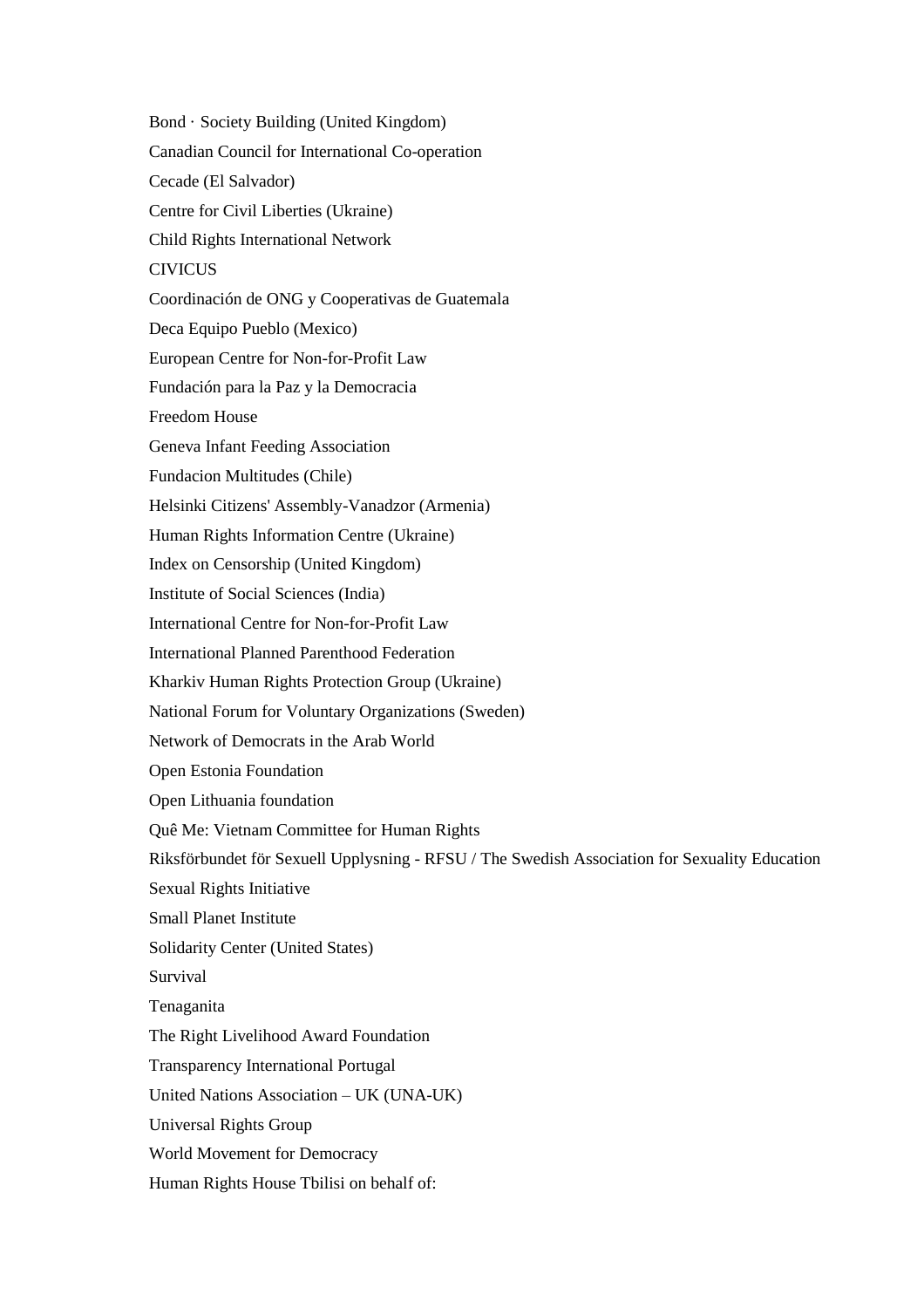Bond · Society Building (United Kingdom) Canadian Council for International Co-operation Cecade (El Salvador) Centre for Civil Liberties (Ukraine) Child Rights International Network **CIVICUS** Coordinación de ONG y Cooperativas de Guatemala Deca Equipo Pueblo (Mexico) European Centre for Non-for-Profit Law Fundación para la Paz y la Democracia Freedom House Geneva Infant Feeding Association Fundacion Multitudes (Chile) Helsinki Citizens' Assembly-Vanadzor (Armenia) Human Rights Information Centre (Ukraine) Index on Censorship (United Kingdom) Institute of Social Sciences (India) International Centre for Non-for-Profit Law International Planned Parenthood Federation Kharkiv Human Rights Protection Group (Ukraine) National Forum for Voluntary Organizations (Sweden) Network of Democrats in the Arab World Open Estonia Foundation Open Lithuania foundation Quê Me: Vietnam Committee for Human Rights Riksförbundet för Sexuell Upplysning - RFSU / The Swedish Association for Sexuality Education Sexual Rights Initiative Small Planet Institute Solidarity Center (United States) Survival Tenaganita The Right Livelihood Award Foundation Transparency International Portugal United Nations Association – UK (UNA-UK) Universal Rights Group World Movement for Democracy Human Rights House Tbilisi on behalf of: